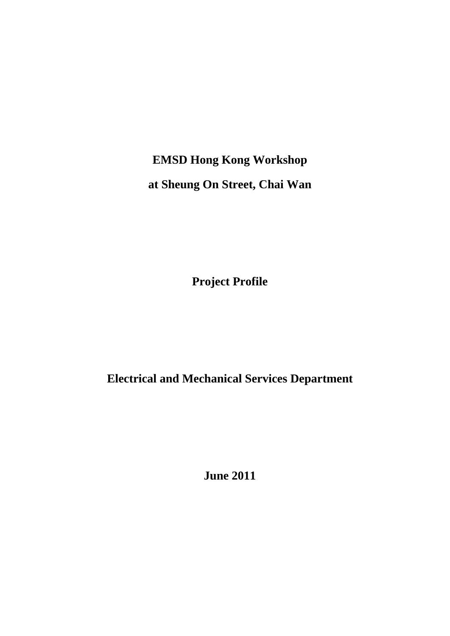**EMSD Hong Kong Workshop at Sheung On Street, Chai Wan** 

**Project Profile** 

**Electrical and Mechanical Services Department** 

**June 2011**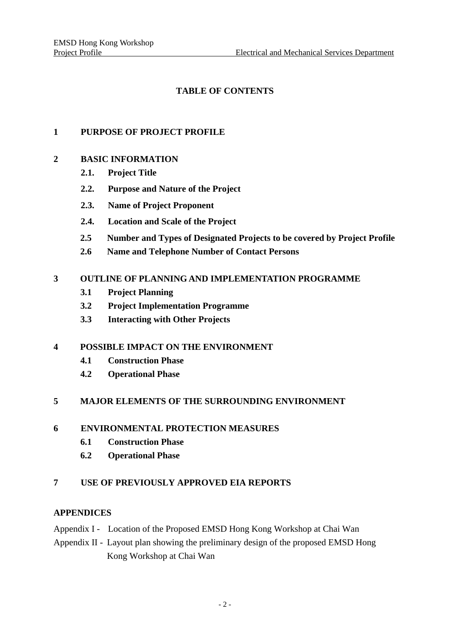# **TABLE OF CONTENTS**

### **1 PURPOSE OF PROJECT PROFILE**

### **2 BASIC INFORMATION**

- **2.1. Project Title**
- **2.2. Purpose and Nature of the Project**
- **2.3. Name of Project Proponent**
- **2.4. Location and Scale of the Project**
- **2.5 Number and Types of Designated Projects to be covered by Project Profile**
- **2.6 Name and Telephone Number of Contact Persons**

# **3 OUTLINE OF PLANNING AND IMPLEMENTATION PROGRAMME**

- **3.1 Project Planning**
- **3.2 Project Implementation Programme**
- **3.3 Interacting with Other Projects**

### **4 POSSIBLE IMPACT ON THE ENVIRONMENT**

- **4.1 Construction Phase**
- **4.2 Operational Phase**

#### **5 MAJOR ELEMENTS OF THE SURROUNDING ENVIRONMENT**

#### **6 ENVIRONMENTAL PROTECTION MEASURES**

- **6.1 Construction Phase**
- **6.2 Operational Phase**

### **7 USE OF PREVIOUSLY APPROVED EIA REPORTS**

#### **APPENDICES**

- Appendix I Location of the Proposed EMSD Hong Kong Workshop at Chai Wan
- Appendix II Layout plan showing the preliminary design of the proposed EMSD Hong Kong Workshop at Chai Wan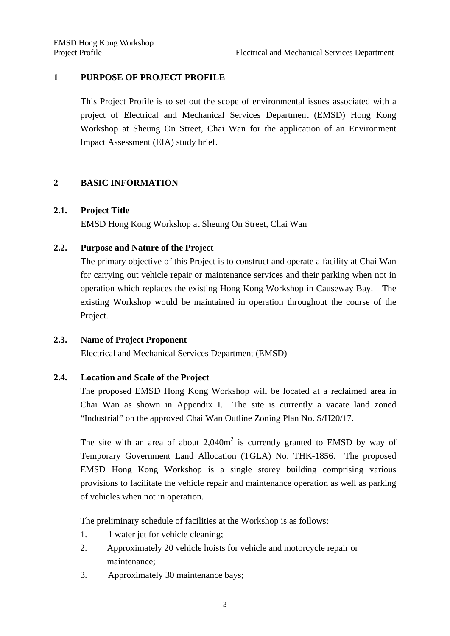### **1 PURPOSE OF PROJECT PROFILE**

 This Project Profile is to set out the scope of environmental issues associated with a project of Electrical and Mechanical Services Department (EMSD) Hong Kong Workshop at Sheung On Street, Chai Wan for the application of an Environment Impact Assessment (EIA) study brief.

### **2 BASIC INFORMATION**

### **2.1. Project Title**

EMSD Hong Kong Workshop at Sheung On Street, Chai Wan

### **2.2. Purpose and Nature of the Project**

The primary objective of this Project is to construct and operate a facility at Chai Wan for carrying out vehicle repair or maintenance services and their parking when not in operation which replaces the existing Hong Kong Workshop in Causeway Bay. The existing Workshop would be maintained in operation throughout the course of the Project.

#### **2.3. Name of Project Proponent**

Electrical and Mechanical Services Department (EMSD)

### **2.4. Location and Scale of the Project**

The proposed EMSD Hong Kong Workshop will be located at a reclaimed area in Chai Wan as shown in Appendix I. The site is currently a vacate land zoned "Industrial" on the approved Chai Wan Outline Zoning Plan No. S/H20/17.

The site with an area of about  $2,040m^2$  is currently granted to EMSD by way of Temporary Government Land Allocation (TGLA) No. THK-1856. The proposed EMSD Hong Kong Workshop is a single storey building comprising various provisions to facilitate the vehicle repair and maintenance operation as well as parking of vehicles when not in operation.

The preliminary schedule of facilities at the Workshop is as follows:

- 1. 1 water jet for vehicle cleaning;
- 2. Approximately 20 vehicle hoists for vehicle and motorcycle repair or maintenance;
- 3. Approximately 30 maintenance bays;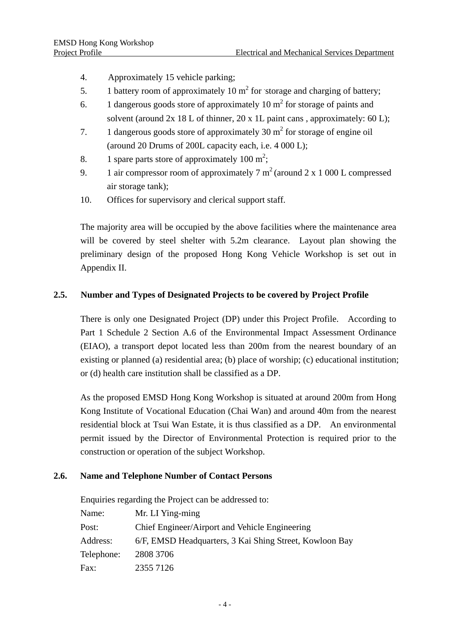- 4. Approximately 15 vehicle parking;
- 5. 1 battery room of approximately 10  $m^2$  for storage and charging of battery;
- 6. 1 dangerous goods store of approximately 10  $m<sup>2</sup>$  for storage of paints and solvent (around  $2x \ 18$  L of thinner,  $20 \ x \ 1$ L paint cans, approximately: 60 L);
- 7. 1 dangerous goods store of approximately  $30 \text{ m}^2$  for storage of engine oil (around 20 Drums of 200L capacity each, i.e. 4 000 L);
- 8. 1 spare parts store of approximately  $100 \text{ m}^2$ ;
- 9. 1 air compressor room of approximately  $7 \text{ m}^2$  (around  $2 \text{ x } 1$  000 L compressed air storage tank);
- 10. Offices for supervisory and clerical support staff.

The majority area will be occupied by the above facilities where the maintenance area will be covered by steel shelter with 5.2m clearance. Layout plan showing the preliminary design of the proposed Hong Kong Vehicle Workshop is set out in Appendix II.

### **2.5. Number and Types of Designated Projects to be covered by Project Profile**

There is only one Designated Project (DP) under this Project Profile. According to Part 1 Schedule 2 Section A.6 of the Environmental Impact Assessment Ordinance (EIAO), a transport depot located less than 200m from the nearest boundary of an existing or planned (a) residential area; (b) place of worship; (c) educational institution; or (d) health care institution shall be classified as a DP.

As the proposed EMSD Hong Kong Workshop is situated at around 200m from Hong Kong Institute of Vocational Education (Chai Wan) and around 40m from the nearest residential block at Tsui Wan Estate, it is thus classified as a DP. An environmental permit issued by the Director of Environmental Protection is required prior to the construction or operation of the subject Workshop.

# **2.6. Name and Telephone Number of Contact Persons**

Enquiries regarding the Project can be addressed to:

| Name:      | Mr. LI Ying-ming                                        |
|------------|---------------------------------------------------------|
| Post:      | Chief Engineer/Airport and Vehicle Engineering          |
| Address:   | 6/F, EMSD Headquarters, 3 Kai Shing Street, Kowloon Bay |
| Telephone: | 2808 3706                                               |
| Fax:       | 2355 7126                                               |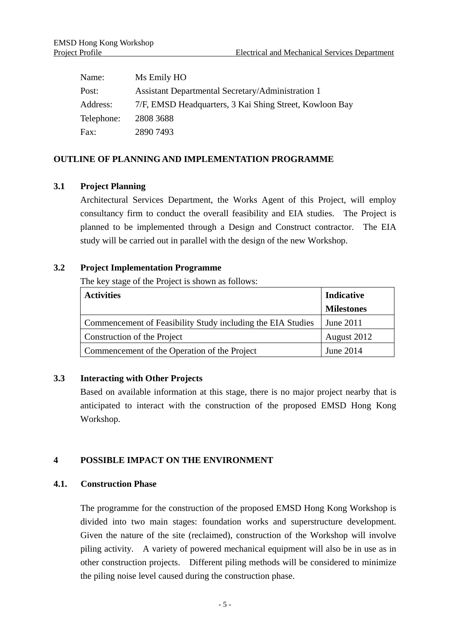| Name:      | Ms Emily HO                                             |
|------------|---------------------------------------------------------|
| Post:      | Assistant Departmental Secretary/Administration 1       |
| Address:   | 7/F, EMSD Headquarters, 3 Kai Shing Street, Kowloon Bay |
| Telephone: | 2808 3688                                               |
| Fax:       | 2890 7493                                               |

### **OUTLINE OF PLANNING AND IMPLEMENTATION PROGRAMME**

### **3.1 Project Planning**

Architectural Services Department, the Works Agent of this Project, will employ consultancy firm to conduct the overall feasibility and EIA studies. The Project is planned to be implemented through a Design and Construct contractor. The EIA study will be carried out in parallel with the design of the new Workshop.

### **3.2 Project Implementation Programme**

The key stage of the Project is shown as follows:

| <b>Activities</b>                                           | Indicative        |
|-------------------------------------------------------------|-------------------|
|                                                             | <b>Milestones</b> |
| Commencement of Feasibility Study including the EIA Studies | June 2011         |
| Construction of the Project                                 | August 2012       |
| Commencement of the Operation of the Project                | June 2014         |

# **3.3 Interacting with Other Projects**

 Based on available information at this stage, there is no major project nearby that is anticipated to interact with the construction of the proposed EMSD Hong Kong Workshop.

### **4 POSSIBLE IMPACT ON THE ENVIRONMENT**

### **4.1. Construction Phase**

The programme for the construction of the proposed EMSD Hong Kong Workshop is divided into two main stages: foundation works and superstructure development. Given the nature of the site (reclaimed), construction of the Workshop will involve piling activity. A variety of powered mechanical equipment will also be in use as in other construction projects. Different piling methods will be considered to minimize the piling noise level caused during the construction phase.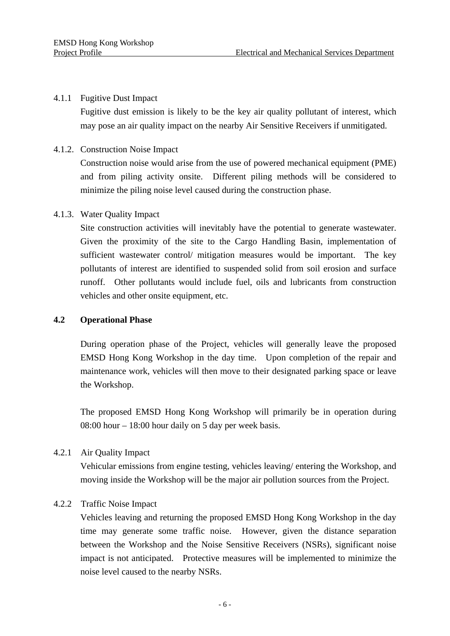#### 4.1.1 Fugitive Dust Impact

Fugitive dust emission is likely to be the key air quality pollutant of interest, which may pose an air quality impact on the nearby Air Sensitive Receivers if unmitigated.

### 4.1.2. Construction Noise Impact

Construction noise would arise from the use of powered mechanical equipment (PME) and from piling activity onsite. Different piling methods will be considered to minimize the piling noise level caused during the construction phase.

### 4.1.3. Water Quality Impact

Site construction activities will inevitably have the potential to generate wastewater. Given the proximity of the site to the Cargo Handling Basin, implementation of sufficient wastewater control/ mitigation measures would be important. The key pollutants of interest are identified to suspended solid from soil erosion and surface runoff. Other pollutants would include fuel, oils and lubricants from construction vehicles and other onsite equipment, etc.

### **4.2 Operational Phase**

During operation phase of the Project, vehicles will generally leave the proposed EMSD Hong Kong Workshop in the day time. Upon completion of the repair and maintenance work, vehicles will then move to their designated parking space or leave the Workshop.

The proposed EMSD Hong Kong Workshop will primarily be in operation during 08:00 hour – 18:00 hour daily on 5 day per week basis.

### 4.2.1 Air Quality Impact

Vehicular emissions from engine testing, vehicles leaving/ entering the Workshop, and moving inside the Workshop will be the major air pollution sources from the Project.

### 4.2.2 Traffic Noise Impact

Vehicles leaving and returning the proposed EMSD Hong Kong Workshop in the day time may generate some traffic noise. However, given the distance separation between the Workshop and the Noise Sensitive Receivers (NSRs), significant noise impact is not anticipated. Protective measures will be implemented to minimize the noise level caused to the nearby NSRs.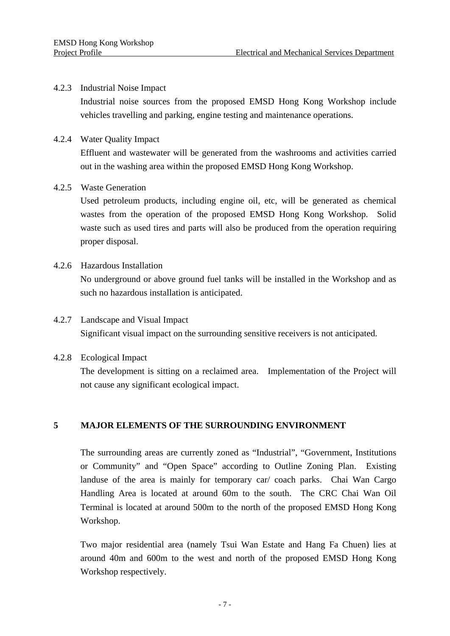#### 4.2.3 Industrial Noise Impact

Industrial noise sources from the proposed EMSD Hong Kong Workshop include vehicles travelling and parking, engine testing and maintenance operations.

### 4.2.4 Water Quality Impact

Effluent and wastewater will be generated from the washrooms and activities carried out in the washing area within the proposed EMSD Hong Kong Workshop.

### 4.2.5 Waste Generation

Used petroleum products, including engine oil, etc, will be generated as chemical wastes from the operation of the proposed EMSD Hong Kong Workshop. Solid waste such as used tires and parts will also be produced from the operation requiring proper disposal.

### 4.2.6 Hazardous Installation

No underground or above ground fuel tanks will be installed in the Workshop and as such no hazardous installation is anticipated.

# 4.2.7 Landscape and Visual Impact Significant visual impact on the surrounding sensitive receivers is not anticipated.

### 4.2.8 Ecological Impact

The development is sitting on a reclaimed area. Implementation of the Project will not cause any significant ecological impact.

### **5 MAJOR ELEMENTS OF THE SURROUNDING ENVIRONMENT**

The surrounding areas are currently zoned as "Industrial", "Government, Institutions or Community" and "Open Space" according to Outline Zoning Plan. Existing landuse of the area is mainly for temporary car/ coach parks. Chai Wan Cargo Handling Area is located at around 60m to the south. The CRC Chai Wan Oil Terminal is located at around 500m to the north of the proposed EMSD Hong Kong Workshop.

Two major residential area (namely Tsui Wan Estate and Hang Fa Chuen) lies at around 40m and 600m to the west and north of the proposed EMSD Hong Kong Workshop respectively.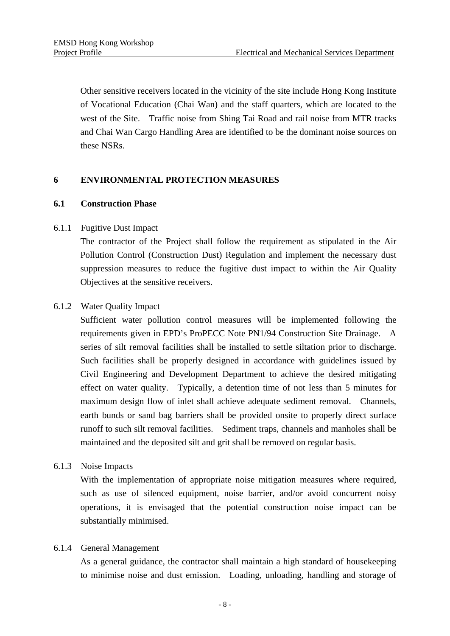Other sensitive receivers located in the vicinity of the site include Hong Kong Institute of Vocational Education (Chai Wan) and the staff quarters, which are located to the west of the Site. Traffic noise from Shing Tai Road and rail noise from MTR tracks and Chai Wan Cargo Handling Area are identified to be the dominant noise sources on these NSRs.

### **6 ENVIRONMENTAL PROTECTION MEASURES**

### **6.1 Construction Phase**

### 6.1.1 Fugitive Dust Impact

The contractor of the Project shall follow the requirement as stipulated in the Air Pollution Control (Construction Dust) Regulation and implement the necessary dust suppression measures to reduce the fugitive dust impact to within the Air Quality Objectives at the sensitive receivers.

### 6.1.2 Water Quality Impact

Sufficient water pollution control measures will be implemented following the requirements given in EPD's ProPECC Note PN1/94 Construction Site Drainage. A series of silt removal facilities shall be installed to settle siltation prior to discharge. Such facilities shall be properly designed in accordance with guidelines issued by Civil Engineering and Development Department to achieve the desired mitigating effect on water quality. Typically, a detention time of not less than 5 minutes for maximum design flow of inlet shall achieve adequate sediment removal. Channels, earth bunds or sand bag barriers shall be provided onsite to properly direct surface runoff to such silt removal facilities. Sediment traps, channels and manholes shall be maintained and the deposited silt and grit shall be removed on regular basis.

### 6.1.3 Noise Impacts

With the implementation of appropriate noise mitigation measures where required, such as use of silenced equipment, noise barrier, and/or avoid concurrent noisy operations, it is envisaged that the potential construction noise impact can be substantially minimised.

#### 6.1.4 General Management

As a general guidance, the contractor shall maintain a high standard of housekeeping to minimise noise and dust emission. Loading, unloading, handling and storage of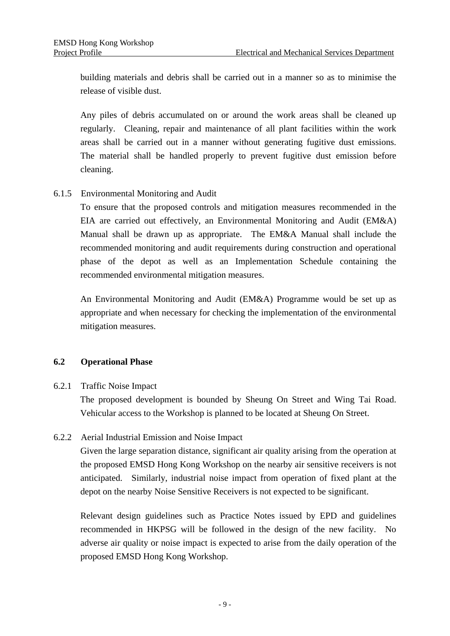building materials and debris shall be carried out in a manner so as to minimise the release of visible dust.

Any piles of debris accumulated on or around the work areas shall be cleaned up regularly. Cleaning, repair and maintenance of all plant facilities within the work areas shall be carried out in a manner without generating fugitive dust emissions. The material shall be handled properly to prevent fugitive dust emission before cleaning.

6.1.5 Environmental Monitoring and Audit

To ensure that the proposed controls and mitigation measures recommended in the EIA are carried out effectively, an Environmental Monitoring and Audit (EM&A) Manual shall be drawn up as appropriate. The EM&A Manual shall include the recommended monitoring and audit requirements during construction and operational phase of the depot as well as an Implementation Schedule containing the recommended environmental mitigation measures.

An Environmental Monitoring and Audit (EM&A) Programme would be set up as appropriate and when necessary for checking the implementation of the environmental mitigation measures.

### **6.2 Operational Phase**

### 6.2.1 Traffic Noise Impact

The proposed development is bounded by Sheung On Street and Wing Tai Road. Vehicular access to the Workshop is planned to be located at Sheung On Street.

6.2.2 Aerial Industrial Emission and Noise Impact

Given the large separation distance, significant air quality arising from the operation at the proposed EMSD Hong Kong Workshop on the nearby air sensitive receivers is not anticipated. Similarly, industrial noise impact from operation of fixed plant at the depot on the nearby Noise Sensitive Receivers is not expected to be significant.

Relevant design guidelines such as Practice Notes issued by EPD and guidelines recommended in HKPSG will be followed in the design of the new facility. No adverse air quality or noise impact is expected to arise from the daily operation of the proposed EMSD Hong Kong Workshop.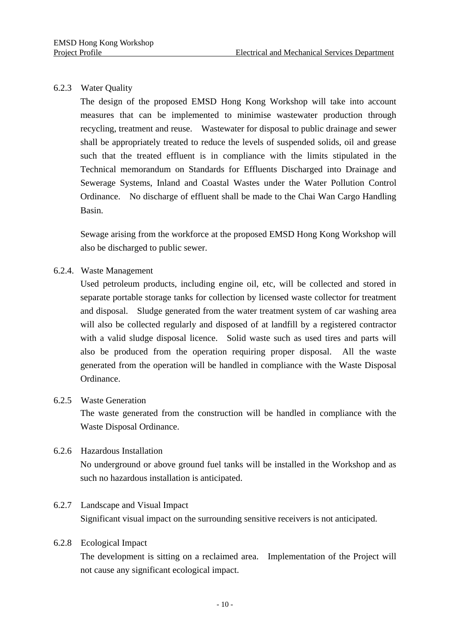### 6.2.3 Water Quality

The design of the proposed EMSD Hong Kong Workshop will take into account measures that can be implemented to minimise wastewater production through recycling, treatment and reuse. Wastewater for disposal to public drainage and sewer shall be appropriately treated to reduce the levels of suspended solids, oil and grease such that the treated effluent is in compliance with the limits stipulated in the Technical memorandum on Standards for Effluents Discharged into Drainage and Sewerage Systems, Inland and Coastal Wastes under the Water Pollution Control Ordinance. No discharge of effluent shall be made to the Chai Wan Cargo Handling Basin.

Sewage arising from the workforce at the proposed EMSD Hong Kong Workshop will also be discharged to public sewer.

### 6.2.4. Waste Management

Used petroleum products, including engine oil, etc, will be collected and stored in separate portable storage tanks for collection by licensed waste collector for treatment and disposal. Sludge generated from the water treatment system of car washing area will also be collected regularly and disposed of at landfill by a registered contractor with a valid sludge disposal licence. Solid waste such as used tires and parts will also be produced from the operation requiring proper disposal. All the waste generated from the operation will be handled in compliance with the Waste Disposal Ordinance.

#### 6.2.5 Waste Generation

The waste generated from the construction will be handled in compliance with the Waste Disposal Ordinance.

### 6.2.6 Hazardous Installation

No underground or above ground fuel tanks will be installed in the Workshop and as such no hazardous installation is anticipated.

#### 6.2.7 Landscape and Visual Impact

Significant visual impact on the surrounding sensitive receivers is not anticipated.

#### 6.2.8 Ecological Impact

The development is sitting on a reclaimed area. Implementation of the Project will not cause any significant ecological impact.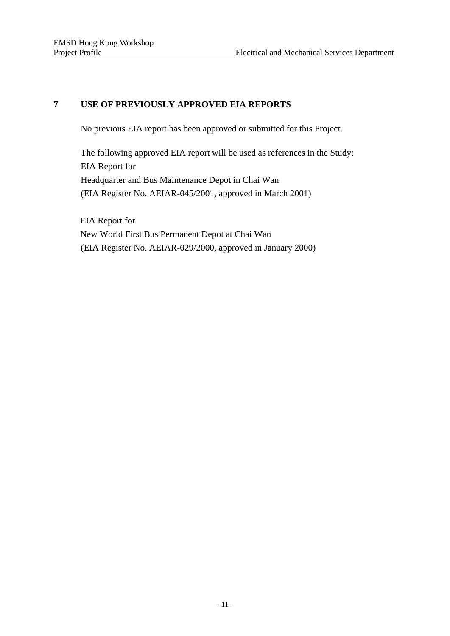# **7 USE OF PREVIOUSLY APPROVED EIA REPORTS**

No previous EIA report has been approved or submitted for this Project.

The following approved EIA report will be used as references in the Study: EIA Report for Headquarter and Bus Maintenance Depot in Chai Wan (EIA Register No. AEIAR-045/2001, approved in March 2001)

EIA Report for New World First Bus Permanent Depot at Chai Wan (EIA Register No. AEIAR-029/2000, approved in January 2000)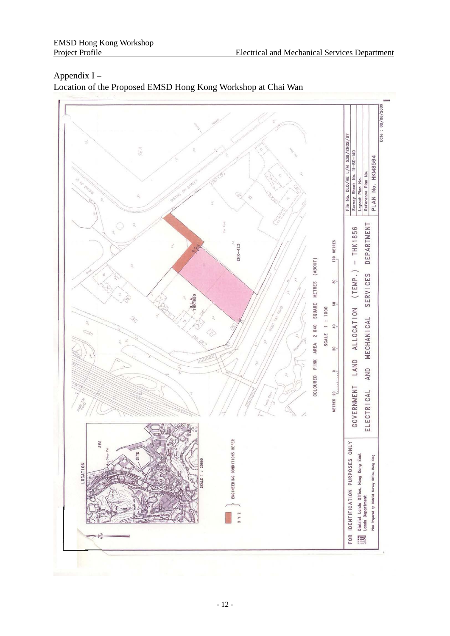# Octo: 08/06/200 File No. DLO/HE L/M 538/EHGS/87 SEA Survey Sheet No. 11-SE-14D<br>Layout Plan No.<br>Reference Plan No. PLAN No. HKM8564 DEPARTMENT  $-$  THK1856 **METRES**  $EHX-423$  $^{100}$ COLOURED PINK AREA 2 040 SQUARE METRES (ABOUT)  $(TEMP. )$ SERVICES  $\frac{8}{30}$  $-\frac{6}{11}$  $\frac{A}{1650}$  $\overline{6}$ SCALE 1 : 1000 ALLOCATION **MECHANICAL**  $\frac{6}{4}$ 20 LAND AND GOVERNMENT ELECTRICAL  $20$ **METRES** ENGINEERING CONDITIONS REFER FOR IDENTIFICATION PURPOSES ONLY<br>IN District Lands Office, Hong Kong East<br>IN Lands Department  $SEA$ District Lands Office, Hong Kong East<br>Lands Department Plan Propared by District Survey Office, Hong Kong **OCATION** X Y Z

# Appendix I – Location of the Proposed EMSD Hong Kong Workshop at Chai Wan